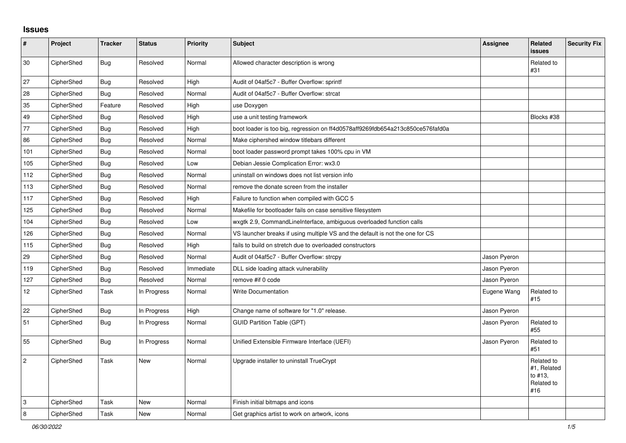## **Issues**

| $\pmb{\#}$              | Project    | <b>Tracker</b> | <b>Status</b> | <b>Priority</b> | <b>Subject</b>                                                                 | <b>Assignee</b> | Related<br><b>issues</b>                                  | <b>Security Fix</b> |
|-------------------------|------------|----------------|---------------|-----------------|--------------------------------------------------------------------------------|-----------------|-----------------------------------------------------------|---------------------|
| 30                      | CipherShed | <b>Bug</b>     | Resolved      | Normal          | Allowed character description is wrong                                         |                 | Related to<br>#31                                         |                     |
| 27                      | CipherShed | Bug            | Resolved      | High            | Audit of 04af5c7 - Buffer Overflow: sprintf                                    |                 |                                                           |                     |
| 28                      | CipherShed | Bug            | Resolved      | Normal          | Audit of 04af5c7 - Buffer Overflow: strcat                                     |                 |                                                           |                     |
| 35                      | CipherShed | Feature        | Resolved      | High            | use Doxygen                                                                    |                 |                                                           |                     |
| 49                      | CipherShed | <b>Bug</b>     | Resolved      | High            | use a unit testing framework                                                   |                 | Blocks #38                                                |                     |
| 77                      | CipherShed | <b>Bug</b>     | Resolved      | High            | boot loader is too big, regression on ff4d0578aff9269fdb654a213c850ce576fafd0a |                 |                                                           |                     |
| 86                      | CipherShed | <b>Bug</b>     | Resolved      | Normal          | Make ciphershed window titlebars different                                     |                 |                                                           |                     |
| 101                     | CipherShed | <b>Bug</b>     | Resolved      | Normal          | boot loader password prompt takes 100% cpu in VM                               |                 |                                                           |                     |
| 105                     | CipherShed | Bug            | Resolved      | Low             | Debian Jessie Complication Error: wx3.0                                        |                 |                                                           |                     |
| 112                     | CipherShed | Bug            | Resolved      | Normal          | uninstall on windows does not list version info                                |                 |                                                           |                     |
| 113                     | CipherShed | Bug            | Resolved      | Normal          | remove the donate screen from the installer                                    |                 |                                                           |                     |
| 117                     | CipherShed | Bug            | Resolved      | High            | Failure to function when compiled with GCC 5                                   |                 |                                                           |                     |
| 125                     | CipherShed | Bug            | Resolved      | Normal          | Makefile for bootloader fails on case sensitive filesystem                     |                 |                                                           |                     |
| 104                     | CipherShed | Bug            | Resolved      | Low             | wxgtk 2.9, CommandLineInterface, ambiguous overloaded function calls           |                 |                                                           |                     |
| 126                     | CipherShed | <b>Bug</b>     | Resolved      | Normal          | VS launcher breaks if using multiple VS and the default is not the one for CS  |                 |                                                           |                     |
| 115                     | CipherShed | Bug            | Resolved      | High            | fails to build on stretch due to overloaded constructors                       |                 |                                                           |                     |
| 29                      | CipherShed | Bug            | Resolved      | Normal          | Audit of 04af5c7 - Buffer Overflow: strcpy                                     | Jason Pyeron    |                                                           |                     |
| 119                     | CipherShed | <b>Bug</b>     | Resolved      | Immediate       | DLL side loading attack vulnerability                                          | Jason Pyeron    |                                                           |                     |
| 127                     | CipherShed | Bug            | Resolved      | Normal          | remove #if 0 code                                                              | Jason Pyeron    |                                                           |                     |
| 12 <sub>2</sub>         | CipherShed | Task           | In Progress   | Normal          | <b>Write Documentation</b>                                                     | Eugene Wang     | Related to<br>#15                                         |                     |
| 22                      | CipherShed | <b>Bug</b>     | In Progress   | High            | Change name of software for "1.0" release.                                     | Jason Pyeron    |                                                           |                     |
| 51                      | CipherShed | <b>Bug</b>     | In Progress   | Normal          | <b>GUID Partition Table (GPT)</b>                                              | Jason Pyeron    | Related to<br>#55                                         |                     |
| 55                      | CipherShed | Bug            | In Progress   | Normal          | Unified Extensible Firmware Interface (UEFI)                                   | Jason Pyeron    | Related to<br>#51                                         |                     |
| $\overline{2}$          | CipherShed | Task           | New           | Normal          | Upgrade installer to uninstall TrueCrypt                                       |                 | Related to<br>#1, Related<br>to #13,<br>Related to<br>#16 |                     |
| 3                       | CipherShed | Task           | New           | Normal          | Finish initial bitmaps and icons                                               |                 |                                                           |                     |
| $\overline{\mathbf{8}}$ | CipherShed | Task           | New           | Normal          | Get graphics artist to work on artwork, icons                                  |                 |                                                           |                     |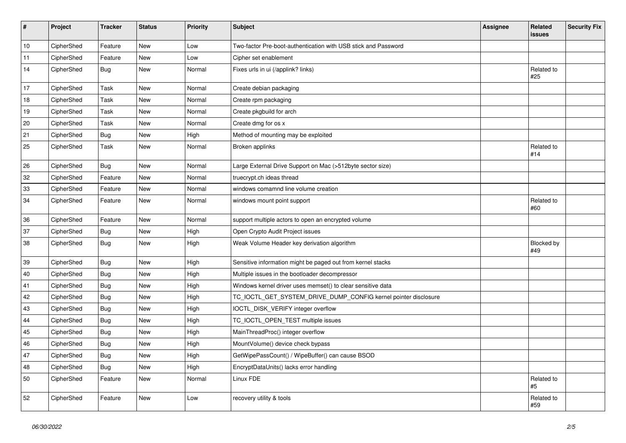| #            | Project    | <b>Tracker</b> | <b>Status</b> | <b>Priority</b> | <b>Subject</b>                                                  | <b>Assignee</b> | Related<br>issues | <b>Security Fix</b> |
|--------------|------------|----------------|---------------|-----------------|-----------------------------------------------------------------|-----------------|-------------------|---------------------|
| 10           | CipherShed | Feature        | New           | Low             | Two-factor Pre-boot-authentication with USB stick and Password  |                 |                   |                     |
| 11           | CipherShed | Feature        | New           | Low             | Cipher set enablement                                           |                 |                   |                     |
| 14           | CipherShed | Bug            | New           | Normal          | Fixes urls in ui (/applink? links)                              |                 | Related to<br>#25 |                     |
| 17           | CipherShed | Task           | <b>New</b>    | Normal          | Create debian packaging                                         |                 |                   |                     |
| 18           | CipherShed | Task           | <b>New</b>    | Normal          | Create rpm packaging                                            |                 |                   |                     |
| 19           | CipherShed | Task           | New           | Normal          | Create pkgbuild for arch                                        |                 |                   |                     |
| $ 20\rangle$ | CipherShed | Task           | New           | Normal          | Create dmg for os x                                             |                 |                   |                     |
| 21           | CipherShed | <b>Bug</b>     | New           | High            | Method of mounting may be exploited                             |                 |                   |                     |
| 25           | CipherShed | Task           | New           | Normal          | Broken applinks                                                 |                 | Related to<br>#14 |                     |
| 26           | CipherShed | Bug            | New           | Normal          | Large External Drive Support on Mac (>512byte sector size)      |                 |                   |                     |
| 32           | CipherShed | Feature        | New           | Normal          | truecrypt.ch ideas thread                                       |                 |                   |                     |
| 33           | CipherShed | Feature        | New           | Normal          | windows comamnd line volume creation                            |                 |                   |                     |
| 34           | CipherShed | Feature        | New           | Normal          | windows mount point support                                     |                 | Related to<br>#60 |                     |
| 36           | CipherShed | Feature        | New           | Normal          | support multiple actors to open an encrypted volume             |                 |                   |                     |
| 37           | CipherShed | <b>Bug</b>     | New           | High            | Open Crypto Audit Project issues                                |                 |                   |                     |
| 38           | CipherShed | Bug            | New           | High            | Weak Volume Header key derivation algorithm                     |                 | Blocked by<br>#49 |                     |
| 39           | CipherShed | <b>Bug</b>     | New           | High            | Sensitive information might be paged out from kernel stacks     |                 |                   |                     |
| 40           | CipherShed | <b>Bug</b>     | <b>New</b>    | High            | Multiple issues in the bootloader decompressor                  |                 |                   |                     |
| 41           | CipherShed | <b>Bug</b>     | New           | High            | Windows kernel driver uses memset() to clear sensitive data     |                 |                   |                     |
| 42           | CipherShed | <b>Bug</b>     | <b>New</b>    | High            | TC_IOCTL_GET_SYSTEM_DRIVE_DUMP_CONFIG kernel pointer disclosure |                 |                   |                     |
| 43           | CipherShed | <b>Bug</b>     | New           | High            | IOCTL_DISK_VERIFY integer overflow                              |                 |                   |                     |
| 44           | CipherShed | <b>Bug</b>     | New           | High            | TC_IOCTL_OPEN_TEST multiple issues                              |                 |                   |                     |
| 45           | CipherShed | <b>Bug</b>     | New           | High            | MainThreadProc() integer overflow                               |                 |                   |                     |
| 46           | CipherShed | <b>Bug</b>     | New           | High            | MountVolume() device check bypass                               |                 |                   |                     |
| 47           | CipherShed | Bug            | New           | High            | GetWipePassCount() / WipeBuffer() can cause BSOD                |                 |                   |                     |
| 48           | CipherShed | <b>Bug</b>     | New           | High            | EncryptDataUnits() lacks error handling                         |                 |                   |                     |
| 50           | CipherShed | Feature        | New           | Normal          | Linux FDE                                                       |                 | Related to<br>#5  |                     |
| 52           | CipherShed | Feature        | New           | Low             | recovery utility & tools                                        |                 | Related to<br>#59 |                     |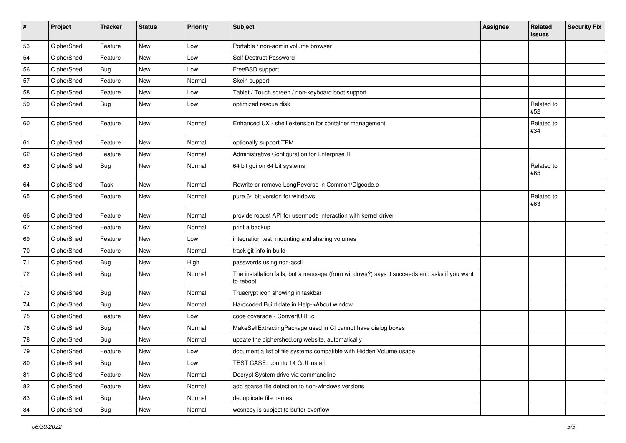| #  | Project    | <b>Tracker</b> | <b>Status</b> | Priority | Subject                                                                                                  | <b>Assignee</b> | Related<br>issues | <b>Security Fix</b> |
|----|------------|----------------|---------------|----------|----------------------------------------------------------------------------------------------------------|-----------------|-------------------|---------------------|
| 53 | CipherShed | Feature        | <b>New</b>    | Low      | Portable / non-admin volume browser                                                                      |                 |                   |                     |
| 54 | CipherShed | Feature        | New           | Low      | Self Destruct Password                                                                                   |                 |                   |                     |
| 56 | CipherShed | <b>Bug</b>     | <b>New</b>    | Low      | FreeBSD support                                                                                          |                 |                   |                     |
| 57 | CipherShed | Feature        | New           | Normal   | Skein support                                                                                            |                 |                   |                     |
| 58 | CipherShed | Feature        | New           | Low      | Tablet / Touch screen / non-keyboard boot support                                                        |                 |                   |                     |
| 59 | CipherShed | <b>Bug</b>     | New           | Low      | optimized rescue disk                                                                                    |                 | Related to<br>#52 |                     |
| 60 | CipherShed | Feature        | New           | Normal   | Enhanced UX - shell extension for container management                                                   |                 | Related to<br>#34 |                     |
| 61 | CipherShed | Feature        | New           | Normal   | optionally support TPM                                                                                   |                 |                   |                     |
| 62 | CipherShed | Feature        | New           | Normal   | Administrative Configuration for Enterprise IT                                                           |                 |                   |                     |
| 63 | CipherShed | Bug            | New           | Normal   | 64 bit gui on 64 bit systems                                                                             |                 | Related to<br>#65 |                     |
| 64 | CipherShed | Task           | New           | Normal   | Rewrite or remove LongReverse in Common/Dlgcode.c                                                        |                 |                   |                     |
| 65 | CipherShed | Feature        | New           | Normal   | pure 64 bit version for windows                                                                          |                 | Related to<br>#63 |                     |
| 66 | CipherShed | Feature        | <b>New</b>    | Normal   | provide robust API for usermode interaction with kernel driver                                           |                 |                   |                     |
| 67 | CipherShed | Feature        | New           | Normal   | print a backup                                                                                           |                 |                   |                     |
| 69 | CipherShed | Feature        | New           | Low      | integration test: mounting and sharing volumes                                                           |                 |                   |                     |
| 70 | CipherShed | Feature        | New           | Normal   | track git info in build                                                                                  |                 |                   |                     |
| 71 | CipherShed | Bug            | New           | High     | passwords using non-ascii                                                                                |                 |                   |                     |
| 72 | CipherShed | Bug            | New           | Normal   | The installation fails, but a message (from windows?) says it succeeds and asks if you want<br>to reboot |                 |                   |                     |
| 73 | CipherShed | <b>Bug</b>     | New           | Normal   | Truecrypt icon showing in taskbar                                                                        |                 |                   |                     |
| 74 | CipherShed | Bug            | <b>New</b>    | Normal   | Hardcoded Build date in Help->About window                                                               |                 |                   |                     |
| 75 | CipherShed | Feature        | New           | Low      | code coverage - ConvertUTF.c                                                                             |                 |                   |                     |
| 76 | CipherShed | <b>Bug</b>     | <b>New</b>    | Normal   | MakeSelfExtractingPackage used in CI cannot have dialog boxes                                            |                 |                   |                     |
| 78 | CipherShed | <b>Bug</b>     | New           | Normal   | update the ciphershed.org website, automatically                                                         |                 |                   |                     |
| 79 | CipherShed | Feature        | New           | Low      | document a list of file systems compatible with Hidden Volume usage                                      |                 |                   |                     |
| 80 | CipherShed | <b>Bug</b>     | New           | Low      | TEST CASE: ubuntu 14 GUI install                                                                         |                 |                   |                     |
| 81 | CipherShed | Feature        | New           | Normal   | Decrypt System drive via commandline                                                                     |                 |                   |                     |
| 82 | CipherShed | Feature        | New           | Normal   | add sparse file detection to non-windows versions                                                        |                 |                   |                     |
| 83 | CipherShed | Bug            | New           | Normal   | deduplicate file names                                                                                   |                 |                   |                     |
| 84 | CipherShed | <b>Bug</b>     | New           | Normal   | wcsncpy is subject to buffer overflow                                                                    |                 |                   |                     |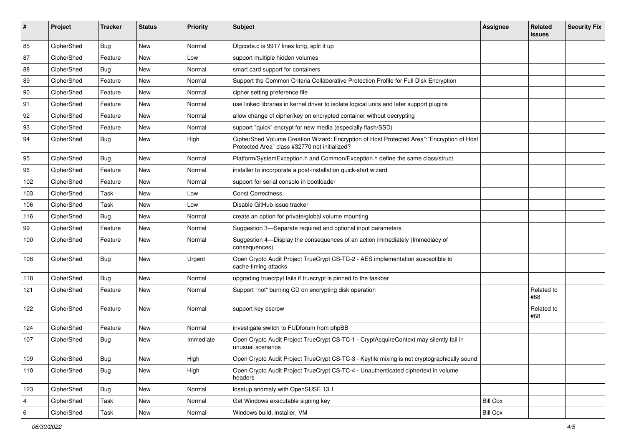| #              | Project    | <b>Tracker</b> | <b>Status</b> | Priority  | Subject                                                                                                                                    | Assignee        | Related<br>issues | <b>Security Fix</b> |
|----------------|------------|----------------|---------------|-----------|--------------------------------------------------------------------------------------------------------------------------------------------|-----------------|-------------------|---------------------|
| 85             | CipherShed | Bug            | <b>New</b>    | Normal    | Digcode.c is 9917 lines long, split it up                                                                                                  |                 |                   |                     |
| 87             | CipherShed | Feature        | <b>New</b>    | Low       | support multiple hidden volumes                                                                                                            |                 |                   |                     |
| 88             | CipherShed | <b>Bug</b>     | New           | Normal    | smart card support for containers                                                                                                          |                 |                   |                     |
| 89             | CipherShed | Feature        | New           | Normal    | Support the Common Criteria Collaborative Protection Profile for Full Disk Encryption                                                      |                 |                   |                     |
| 90             | CipherShed | Feature        | New           | Normal    | cipher setting preference file                                                                                                             |                 |                   |                     |
| 91             | CipherShed | Feature        | New           | Normal    | use linked libraries in kernel driver to isolate logical units and later support plugins                                                   |                 |                   |                     |
| 92             | CipherShed | Feature        | New           | Normal    | allow change of cipher/key on encrypted container without decrypting                                                                       |                 |                   |                     |
| 93             | CipherShed | Feature        | New           | Normal    | support "quick" encrypt for new media (especially flash/SSD)                                                                               |                 |                   |                     |
| 94             | CipherShed | Bug            | New           | High      | CipherShed Volume Creation Wizard: Encryption of Host Protected Area":"Encryption of Host<br>Protected Area" class #32770 not initialized? |                 |                   |                     |
| 95             | CipherShed | <b>Bug</b>     | New           | Normal    | Platform/SystemException.h and Common/Exception.h define the same class/struct                                                             |                 |                   |                     |
| 96             | CipherShed | Feature        | New           | Normal    | installer to incorporate a post-installation quick-start wizard                                                                            |                 |                   |                     |
| 102            | CipherShed | Feature        | New           | Normal    | support for serial console in bootloader                                                                                                   |                 |                   |                     |
| 103            | CipherShed | Task           | New           | Low       | <b>Const Correctness</b>                                                                                                                   |                 |                   |                     |
| 106            | CipherShed | Task           | New           | Low       | Disable GitHub issue tracker                                                                                                               |                 |                   |                     |
| 116            | CipherShed | Bug            | New           | Normal    | create an option for private/global volume mounting                                                                                        |                 |                   |                     |
| 99             | CipherShed | Feature        | New           | Normal    | Suggestion 3-Separate required and optional input parameters                                                                               |                 |                   |                     |
| 100            | CipherShed | Feature        | New           | Normal    | Suggestion 4-Display the consequences of an action immediately (Immediacy of<br>consequences)                                              |                 |                   |                     |
| 108            | CipherShed | Bug            | New           | Urgent    | Open Crypto Audit Project TrueCrypt CS-TC-2 - AES implementation susceptible to<br>cache-timing attacks                                    |                 |                   |                     |
| 118            | CipherShed | Bug            | New           | Normal    | upgrading truecrpyt fails if truecrypt is pinned to the taskbar                                                                            |                 |                   |                     |
| 121            | CipherShed | Feature        | New           | Normal    | Support "not" burning CD on encrypting disk operation                                                                                      |                 | Related to<br>#68 |                     |
| 122            | CipherShed | Feature        | <b>New</b>    | Normal    | support key escrow                                                                                                                         |                 | Related to<br>#68 |                     |
| 124            | CipherShed | Feature        | New           | Normal    | investigate switch to FUDforum from phpBB                                                                                                  |                 |                   |                     |
| 107            | CipherShed | <b>Bug</b>     | New           | Immediate | Open Crypto Audit Project TrueCrypt CS-TC-1 - CryptAcquireContext may silently fail in<br>unusual scenarios                                |                 |                   |                     |
| 109            | CipherShed | <b>Bug</b>     | New           | High      | Open Crypto Audit Project TrueCrypt CS-TC-3 - Keyfile mixing is not cryptographically sound                                                |                 |                   |                     |
| 110            | CipherShed | Bug            | New           | High      | Open Crypto Audit Project TrueCrypt CS-TC-4 - Unauthenticated ciphertext in volume<br>headers                                              |                 |                   |                     |
| 123            | CipherShed | <b>Bug</b>     | New           | Normal    | losetup anomaly with OpenSUSE 13.1                                                                                                         |                 |                   |                     |
| $\overline{4}$ | CipherShed | Task           | New           | Normal    | Get Windows executable signing key                                                                                                         | <b>Bill Cox</b> |                   |                     |
| 6              | CipherShed | Task           | New           | Normal    | Windows build, installer, VM                                                                                                               | <b>Bill Cox</b> |                   |                     |